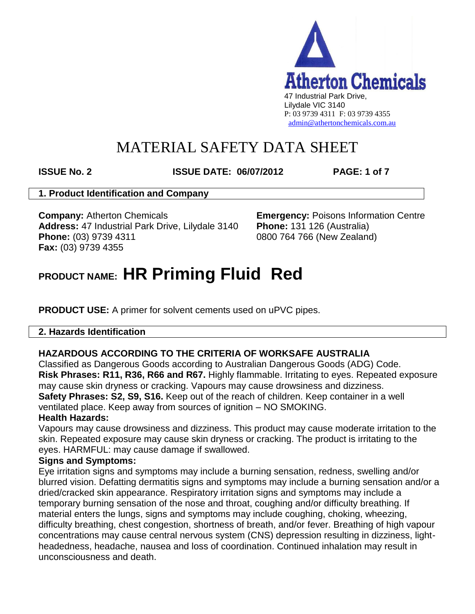

**ISSUE No. 2 ISSUE DATE: 06/07/2012 PAGE: 1 of 7**

## **1. Product Identification and Company**

**Company:** Atherton Chemicals **Emergency:** Poisons Information Centre **Address:** 47 Industrial Park Drive, Lilydale 3140 **Phone:** 131 126 (Australia) **Phone:** (03) 9739 4311 0800 764 766 (New Zealand) **Fax:** (03) 9739 4355

# **PRODUCT NAME: HR Priming Fluid Red**

**PRODUCT USE:** A primer for solvent cements used on uPVC pipes.

## **2. Hazards Identification**

## **HAZARDOUS ACCORDING TO THE CRITERIA OF WORKSAFE AUSTRALIA**

Classified as Dangerous Goods according to Australian Dangerous Goods (ADG) Code. **Risk Phrases: R11, R36, R66 and R67.** Highly flammable. Irritating to eyes. Repeated exposure may cause skin dryness or cracking. Vapours may cause drowsiness and dizziness. **Safety Phrases: S2, S9, S16.** Keep out of the reach of children. Keep container in a well ventilated place. Keep away from sources of ignition – NO SMOKING.

## **Health Hazards:**

Vapours may cause drowsiness and dizziness. This product may cause moderate irritation to the skin. Repeated exposure may cause skin dryness or cracking. The product is irritating to the eyes. HARMFUL: may cause damage if swallowed.

## **Signs and Symptoms:**

Eye irritation signs and symptoms may include a burning sensation, redness, swelling and/or blurred vision. Defatting dermatitis signs and symptoms may include a burning sensation and/or a dried/cracked skin appearance. Respiratory irritation signs and symptoms may include a temporary burning sensation of the nose and throat, coughing and/or difficulty breathing. If material enters the lungs, signs and symptoms may include coughing, choking, wheezing, difficulty breathing, chest congestion, shortness of breath, and/or fever. Breathing of high vapour concentrations may cause central nervous system (CNS) depression resulting in dizziness, lightheadedness, headache, nausea and loss of coordination. Continued inhalation may result in unconsciousness and death.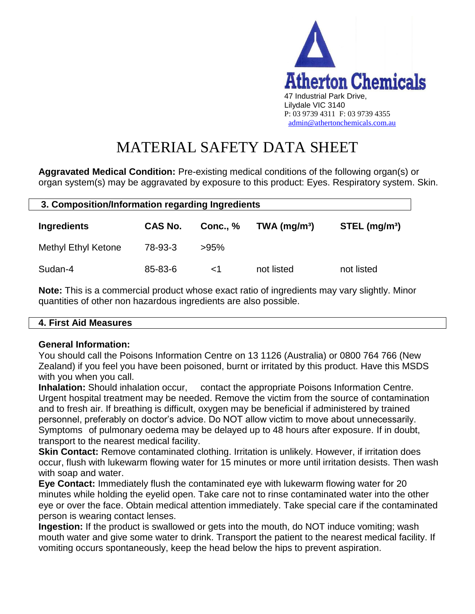

**Aggravated Medical Condition:** Pre-existing medical conditions of the following organ(s) or organ system(s) may be aggravated by exposure to this product: Eyes. Respiratory system. Skin.

| 3. Composition/Information regarding Ingredients |                |                 |                            |                             |
|--------------------------------------------------|----------------|-----------------|----------------------------|-----------------------------|
| Ingredients                                      | <b>CAS No.</b> | <b>Conc., %</b> | $TWA$ (mg/m <sup>3</sup> ) | $STEL$ (mg/m <sup>3</sup> ) |
| <b>Methyl Ethyl Ketone</b>                       | 78-93-3        | >95%            |                            |                             |
| Sudan-4                                          | 85-83-6        | ا>              | not listed                 | not listed                  |

**Note:** This is a commercial product whose exact ratio of ingredients may vary slightly. Minor quantities of other non hazardous ingredients are also possible.

## **4. First Aid Measures**

 $\mathsf{I}$ 

## **General Information:**

You should call the Poisons Information Centre on 13 1126 (Australia) or 0800 764 766 (New Zealand) if you feel you have been poisoned, burnt or irritated by this product. Have this MSDS with you when you call.

**Inhalation:** Should inhalation occur, contact the appropriate Poisons Information Centre. Urgent hospital treatment may be needed. Remove the victim from the source of contamination and to fresh air. If breathing is difficult, oxygen may be beneficial if administered by trained personnel, preferably on doctor's advice. Do NOT allow victim to move about unnecessarily. Symptoms of pulmonary oedema may be delayed up to 48 hours after exposure. If in doubt, transport to the nearest medical facility.

**Skin Contact:** Remove contaminated clothing. Irritation is unlikely. However, if irritation does occur, flush with lukewarm flowing water for 15 minutes or more until irritation desists. Then wash with soap and water.

**Eye Contact:** Immediately flush the contaminated eye with lukewarm flowing water for 20 minutes while holding the eyelid open. Take care not to rinse contaminated water into the other eye or over the face. Obtain medical attention immediately. Take special care if the contaminated person is wearing contact lenses.

**Ingestion:** If the product is swallowed or gets into the mouth, do NOT induce vomiting; wash mouth water and give some water to drink. Transport the patient to the nearest medical facility. If vomiting occurs spontaneously, keep the head below the hips to prevent aspiration.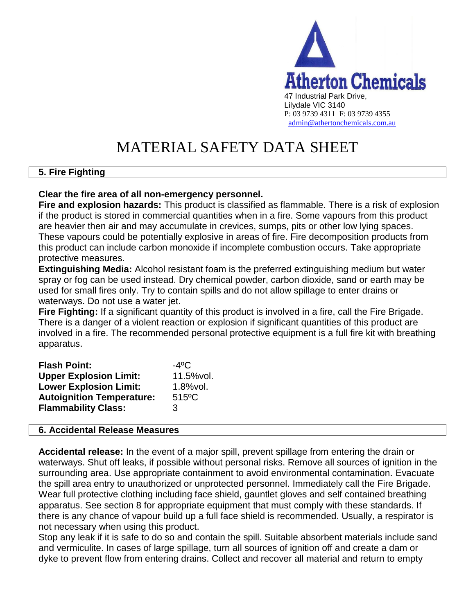

## **5. Fire Fighting**

### **Clear the fire area of all non-emergency personnel.**

**Fire and explosion hazards:** This product is classified as flammable. There is a risk of explosion if the product is stored in commercial quantities when in a fire. Some vapours from this product are heavier then air and may accumulate in crevices, sumps, pits or other low lying spaces. These vapours could be potentially explosive in areas of fire. Fire decomposition products from this product can include carbon monoxide if incomplete combustion occurs. Take appropriate protective measures.

**Extinguishing Media:** Alcohol resistant foam is the preferred extinguishing medium but water spray or fog can be used instead. Dry chemical powder, carbon dioxide, sand or earth may be used for small fires only. Try to contain spills and do not allow spillage to enter drains or waterways. Do not use a water jet.

**Fire Fighting:** If a significant quantity of this product is involved in a fire, call the Fire Brigade. There is a danger of a violent reaction or explosion if significant quantities of this product are involved in a fire. The recommended personal protective equipment is a full fire kit with breathing apparatus.

| <b>Flash Point:</b>              | $-4^{\circ}$ C       |
|----------------------------------|----------------------|
| <b>Upper Explosion Limit:</b>    | 11.5%vol.            |
| <b>Lower Explosion Limit:</b>    | $1.8%$ vol.          |
| <b>Autoignition Temperature:</b> | $515$ <sup>o</sup> C |
| <b>Flammability Class:</b>       | 3                    |

#### **6. Accidental Release Measures**

**Accidental release:** In the event of a major spill, prevent spillage from entering the drain or waterways. Shut off leaks, if possible without personal risks. Remove all sources of ignition in the surrounding area. Use appropriate containment to avoid environmental contamination. Evacuate the spill area entry to unauthorized or unprotected personnel. Immediately call the Fire Brigade. Wear full protective clothing including face shield, gauntlet gloves and self contained breathing apparatus. See section 8 for appropriate equipment that must comply with these standards. If there is any chance of vapour build up a full face shield is recommended. Usually, a respirator is not necessary when using this product.

Stop any leak if it is safe to do so and contain the spill. Suitable absorbent materials include sand and vermiculite. In cases of large spillage, turn all sources of ignition off and create a dam or dyke to prevent flow from entering drains. Collect and recover all material and return to empty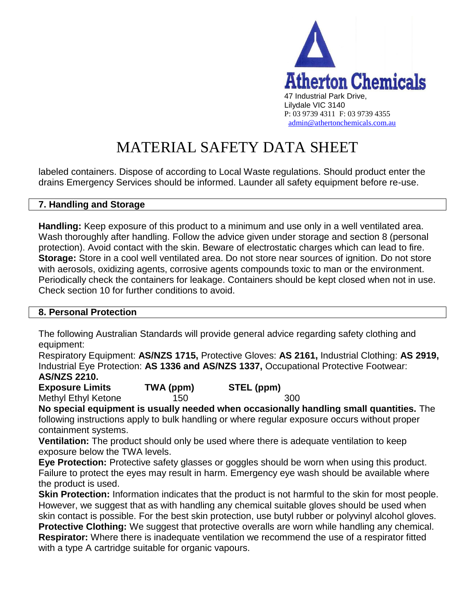

labeled containers. Dispose of according to Local Waste regulations. Should product enter the drains Emergency Services should be informed. Launder all safety equipment before re-use.

### **7. Handling and Storage**

**Handling:** Keep exposure of this product to a minimum and use only in a well ventilated area. Wash thoroughly after handling. Follow the advice given under storage and section 8 (personal protection). Avoid contact with the skin. Beware of electrostatic charges which can lead to fire. **Storage:** Store in a cool well ventilated area. Do not store near sources of ignition. Do not store with aerosols, oxidizing agents, corrosive agents compounds toxic to man or the environment. Periodically check the containers for leakage. Containers should be kept closed when not in use. Check section 10 for further conditions to avoid.

#### **8. Personal Protection**

The following Australian Standards will provide general advice regarding safety clothing and equipment:

Respiratory Equipment: **AS/NZS 1715,** Protective Gloves: **AS 2161,** Industrial Clothing: **AS 2919,**  Industrial Eye Protection: **AS 1336 and AS/NZS 1337,** Occupational Protective Footwear: **AS/NZS 2210.** 

**Exposure Limits TWA (ppm) STEL (ppm)** Methyl Ethyl Ketone 150 150 300

**No special equipment is usually needed when occasionally handling small quantities.** The following instructions apply to bulk handling or where regular exposure occurs without proper containment systems.

**Ventilation:** The product should only be used where there is adequate ventilation to keep exposure below the TWA levels.

**Eye Protection:** Protective safety glasses or goggles should be worn when using this product. Failure to protect the eyes may result in harm. Emergency eye wash should be available where the product is used.

**Skin Protection:** Information indicates that the product is not harmful to the skin for most people. However, we suggest that as with handling any chemical suitable gloves should be used when skin contact is possible. For the best skin protection, use butyl rubber or polyvinyl alcohol gloves. **Protective Clothing:** We suggest that protective overalls are worn while handling any chemical. **Respirator:** Where there is inadequate ventilation we recommend the use of a respirator fitted with a type A cartridge suitable for organic vapours.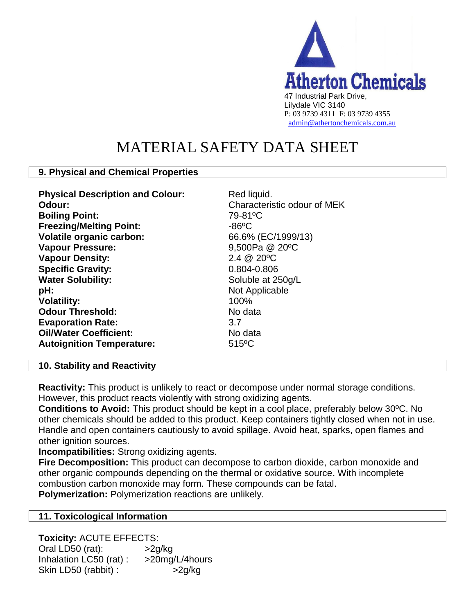

## **9. Physical and Chemical Properties**

| Red liquid.<br>Characteristic odour of MEK<br>79-81°C<br>$-86$ °C<br>66.6% (EC/1999/13)<br>9,500Pa @ 20°C<br>$2.4 \ @ \ 20\degree C$<br>0.804-0.806<br>Soluble at 250g/L<br>Not Applicable<br>100%<br>No data<br>3.7<br>No data |
|---------------------------------------------------------------------------------------------------------------------------------------------------------------------------------------------------------------------------------|
| $515^{\circ}$ C                                                                                                                                                                                                                 |
|                                                                                                                                                                                                                                 |

#### **10. Stability and Reactivity**

**Reactivity:** This product is unlikely to react or decompose under normal storage conditions. However, this product reacts violently with strong oxidizing agents.

**Conditions to Avoid:** This product should be kept in a cool place, preferably below 30ºC. No other chemicals should be added to this product. Keep containers tightly closed when not in use. Handle and open containers cautiously to avoid spillage. Avoid heat, sparks, open flames and other ignition sources.

**Incompatibilities:** Strong oxidizing agents.

**Fire Decomposition:** This product can decompose to carbon dioxide, carbon monoxide and other organic compounds depending on the thermal or oxidative source. With incomplete combustion carbon monoxide may form. These compounds can be fatal. **Polymerization:** Polymerization reactions are unlikely.

## **11. Toxicological Information**

**Toxicity:** ACUTE EFFECTS:

Oral LD50 (rat):  $>2g/kg$ Inhalation LC50 (rat) : >20mg/L/4hours Skin LD50 (rabbit) :  $>2g/kg$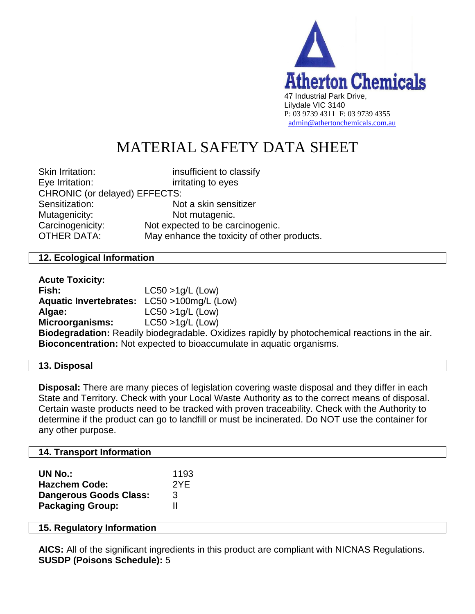

| <b>Skin Irritation:</b>       | insufficient to classify                    |
|-------------------------------|---------------------------------------------|
| Eye Irritation:               | irritating to eyes                          |
| CHRONIC (or delayed) EFFECTS: |                                             |
| Sensitization:                | Not a skin sensitizer                       |
| Mutagenicity:                 | Not mutagenic.                              |
| Carcinogenicity:              | Not expected to be carcinogenic.            |
| <b>OTHER DATA:</b>            | May enhance the toxicity of other products. |
|                               |                                             |

### **12. Ecological Information**

| <b>Acute Toxicity:</b>                                                                         |                     |  |
|------------------------------------------------------------------------------------------------|---------------------|--|
| Fish:                                                                                          | $LC50 > 1q/L$ (Low) |  |
| Aquatic Invertebrates: LC50 >100mg/L (Low)                                                     |                     |  |
| Algae:                                                                                         | $LC50 > 1g/L$ (Low) |  |
| <b>Microorganisms:</b>                                                                         | $LC50 > 1q/L$ (Low) |  |
| Biodegradation: Readily biodegradable. Oxidizes rapidly by photochemical reactions in the air. |                     |  |
| <b>Bioconcentration:</b> Not expected to bioaccumulate in aquatic organisms.                   |                     |  |

#### **13. Disposal**

**Disposal:** There are many pieces of legislation covering waste disposal and they differ in each State and Territory. Check with your Local Waste Authority as to the correct means of disposal. Certain waste products need to be tracked with proven traceability. Check with the Authority to determine if the product can go to landfill or must be incinerated. Do NOT use the container for any other purpose.

#### **14. Transport Information**

| <b>UN No.:</b>                | 1193 |
|-------------------------------|------|
| <b>Hazchem Code:</b>          | 2YE  |
| <b>Dangerous Goods Class:</b> | 3    |
| <b>Packaging Group:</b>       | н    |

#### **15. Regulatory Information**

**AICS:** All of the significant ingredients in this product are compliant with NICNAS Regulations. **SUSDP (Poisons Schedule):** 5